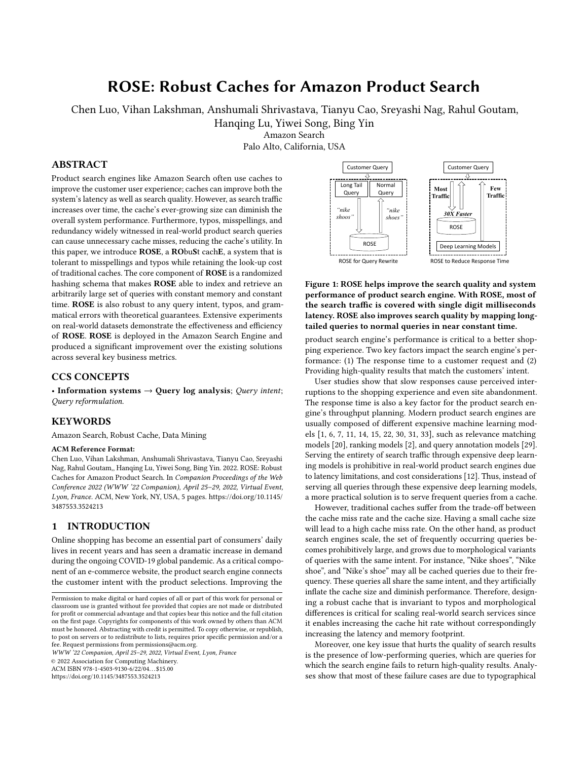# ROSE: Robust Caches for Amazon Product Search

Chen Luo, Vihan Lakshman, Anshumali Shrivastava, Tianyu Cao, Sreyashi Nag, Rahul Goutam,

Hanqing Lu, Yiwei Song, Bing Yin

Amazon Search

Palo Alto, California, USA

# ABSTRACT

Product search engines like Amazon Search often use caches to improve the customer user experience; caches can improve both the system's latency as well as search quality. However, as search traffic increases over time, the cache's ever-growing size can diminish the overall system performance. Furthermore, typos, misspellings, and redundancy widely witnessed in real-world product search queries can cause unnecessary cache misses, reducing the cache's utility. In this paper, we introduce ROSE, a RObuSt cachE, a system that is tolerant to misspellings and typos while retaining the look-up cost of traditional caches. The core component of ROSE is a randomized hashing schema that makes ROSE able to index and retrieve an arbitrarily large set of queries with constant memory and constant time. ROSE is also robust to any query intent, typos, and grammatical errors with theoretical guarantees. Extensive experiments on real-world datasets demonstrate the effectiveness and efficiency of ROSE. ROSE is deployed in the Amazon Search Engine and produced a significant improvement over the existing solutions across several key business metrics.

## CCS CONCEPTS

• Information systems  $\rightarrow$  Query log analysis; Query intent; Query reformulation.

# **KEYWORDS**

Amazon Search, Robust Cache, Data Mining

#### ACM Reference Format:

Chen Luo, Vihan Lakshman, Anshumali Shrivastava, Tianyu Cao, Sreyashi Nag, Rahul Goutam,, Hanqing Lu, Yiwei Song, Bing Yin. 2022. ROSE: Robust Caches for Amazon Product Search. In Companion Proceedings of the Web Conference 2022 (WWW '22 Companion), April 25–29, 2022, Virtual Event, Lyon, France. ACM, New York, NY, USA, [5](#page-4-0) pages. [https://doi.org/10.1145/](https://doi.org/10.1145/3487553.3524213) [3487553.3524213](https://doi.org/10.1145/3487553.3524213)

## 1 INTRODUCTION

Online shopping has become an essential part of consumers' daily lives in recent years and has seen a dramatic increase in demand during the ongoing COVID-19 global pandemic. As a critical component of an e-commerce website, the product search engine connects the customer intent with the product selections. Improving the

WWW '22 Companion, April 25–29, 2022, Virtual Event, Lyon, France

© 2022 Association for Computing Machinery.

ACM ISBN 978-1-4503-9130-6/22/04. . . \$15.00

<https://doi.org/10.1145/3487553.3524213>

<span id="page-0-0"></span>

Figure 1: ROSE helps improve the search quality and system performance of product search engine. With ROSE, most of the search traffic is covered with single digit milliseconds latency. ROSE also improves search quality by mapping longtailed queries to normal queries in near constant time.

ping experience. Two key factors impact the search engine's perproduct search engine's performance is critical to a better shopformance: (1) The response time to a customer request and (2) Providing high-quality results that match the customers' intent.

User studies show that slow responses cause perceived interruptions to the shopping experience and even site abandonment. The response time is also a key factor for the product search engine's throughput planning. Modern product search engines are usually composed of different expensive machine learning models [\[1,](#page-4-1) [6,](#page-4-2) [7,](#page-4-3) [11,](#page-4-4) [14,](#page-4-5) [15,](#page-4-6) [22,](#page-4-7) [30,](#page-4-8) [31,](#page-4-9) [33\]](#page-4-10), such as relevance matching models [\[20\]](#page-4-11), ranking models [\[2\]](#page-4-12), and query annotation models [\[29\]](#page-4-13). Serving the entirety of search traffic through expensive deep learning models is prohibitive in real-world product search engines due to latency limitations, and cost considerations [\[12\]](#page-4-14). Thus, instead of serving all queries through these expensive deep learning models, a more practical solution is to serve frequent queries from a cache.

However, traditional caches suffer from the trade-off between the cache miss rate and the cache size. Having a small cache size will lead to a high cache miss rate. On the other hand, as product search engines scale, the set of frequently occurring queries becomes prohibitively large, and grows due to morphological variants of queries with the same intent. For instance, "Nike shoes", "Nike shoe", and "Nike's shoe" may all be cached queries due to their frequency. These queries all share the same intent, and they artificially inflate the cache size and diminish performance. Therefore, designing a robust cache that is invariant to typos and morphological differences is critical for scaling real-world search services since it enables increasing the cache hit rate without correspondingly increasing the latency and memory footprint.

Moreover, one key issue that hurts the quality of search results is the presence of low-performing queries, which are queries for which the search engine fails to return high-quality results. Analyses show that most of these failure cases are due to typographical

Permission to make digital or hard copies of all or part of this work for personal or classroom use is granted without fee provided that copies are not made or distributed for profit or commercial advantage and that copies bear this notice and the full citation on the first page. Copyrights for components of this work owned by others than ACM must be honored. Abstracting with credit is permitted. To copy otherwise, or republish, to post on servers or to redistribute to lists, requires prior specific permission and/or a fee. Request permissions from permissions@acm.org.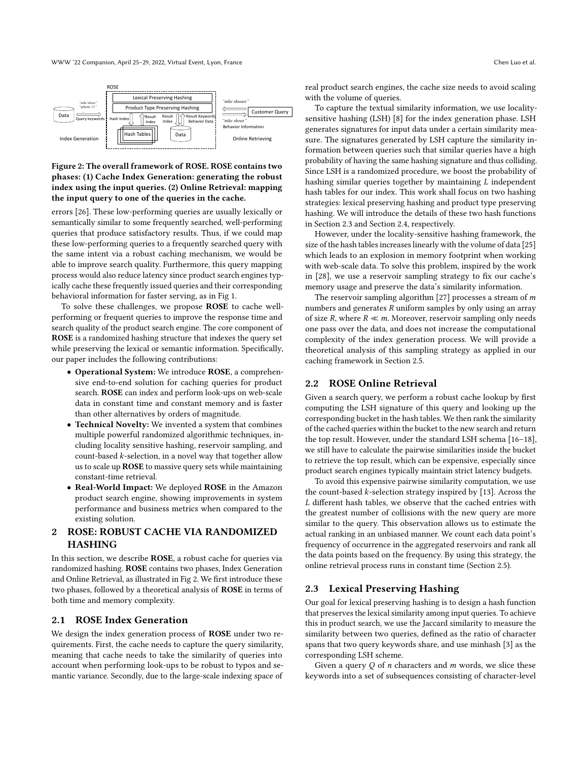<span id="page-1-0"></span>

## Figure 2: The overall framework of ROSE. ROSE contains two phases: (1) Cache Index Generation: generating the robust index using the input queries. (2) Online Retrieval: mapping the input query to one of the queries in the cache.

errors [\[26\]](#page-4-15). These low-performing queries are usually lexically or semantically similar to some frequently searched, well-performing queries that produce satisfactory results. Thus, if we could map these low-performing queries to a frequently searched query with the same intent via a robust caching mechanism, we would be able to improve search quality. Furthermore, this query mapping process would also reduce latency since product search engines typically cache these frequently issued queries and their corresponding behavioral information for faster serving, as in Fig [1.](#page-0-0)

To solve these challenges, we propose ROSE to cache wellperforming or frequent queries to improve the response time and search quality of the product search engine. The core component of ROSE is a randomized hashing structure that indexes the query set while preserving the lexical or semantic information. Specifically, our paper includes the following contributions:

- Operational System: We introduce ROSE, a comprehensive end-to-end solution for caching queries for product search. ROSE can index and perform look-ups on web-scale data in constant time and constant memory and is faster than other alternatives by orders of magnitude.
- Technical Novelty: We invented a system that combines multiple powerful randomized algorithmic techniques, including locality sensitive hashing, reservoir sampling, and count-based  $k$ -selection, in a novel way that together allow us to scale up ROSE to massive query sets while maintaining constant-time retrieval.
- Real-World Impact: We deployed ROSE in the Amazon product search engine, showing improvements in system performance and business metrics when compared to the existing solution.

# 2 ROSE: ROBUST CACHE VIA RANDOMIZED HASHING

In this section, we describe ROSE, a robust cache for queries via randomized hashing. ROSE contains two phases, Index Generation and Online Retrieval, as illustrated in Fig [2.](#page-1-0) We first introduce these two phases, followed by a theoretical analysis of ROSE in terms of both time and memory complexity.

#### 2.1 ROSE Index Generation

We design the index generation process of ROSE under two requirements. First, the cache needs to capture the query similarity, meaning that cache needs to take the similarity of queries into account when performing look-ups to be robust to typos and semantic variance. Secondly, due to the large-scale indexing space of real product search engines, the cache size needs to avoid scaling with the volume of queries.

To capture the textual similarity information, we use localitysensitive hashing (LSH) [\[8\]](#page-4-16) for the index generation phase. LSH generates signatures for input data under a certain similarity measure. The signatures generated by LSH capture the similarity information between queries such that similar queries have a high probability of having the same hashing signature and thus colliding. Since LSH is a randomized procedure, we boost the probability of hashing similar queries together by maintaining  $L$  independent hash tables for our index. This work shall focus on two hashing strategies: lexical preserving hashing and product type preserving hashing. We will introduce the details of these two hash functions in Section [2.3](#page-1-1) and Section [2.4,](#page-2-0) respectively.

However, under the locality-sensitive hashing framework, the size of the hash tables increases linearly with the volume of data [\[25\]](#page-4-17) which leads to an explosion in memory footprint when working with web-scale data. To solve this problem, inspired by the work in [\[28\]](#page-4-18), we use a reservoir sampling strategy to fix our cache's memory usage and preserve the data's similarity information.

The reservoir sampling algorithm  $[27]$  processes a stream of  $m$ numbers and generates  *uniform samples by only using an array* of size R, where  $R \ll m$ . Moreover, reservoir sampling only needs one pass over the data, and does not increase the computational complexity of the index generation process. We will provide a theoretical analysis of this sampling strategy as applied in our caching framework in Section [2.5.](#page-2-1)

#### 2.2 ROSE Online Retrieval

Given a search query, we perform a robust cache lookup by first computing the LSH signature of this query and looking up the corresponding bucket in the hash tables. We then rank the similarity of the cached queries within the bucket to the new search and return the top result. However, under the standard LSH schema [\[16–](#page-4-20)[18\]](#page-4-21), we still have to calculate the pairwise similarities inside the bucket to retrieve the top result, which can be expensive, especially since product search engines typically maintain strict latency budgets.

To avoid this expensive pairwise similarity computation, we use the count-based  $k$ -selection strategy inspired by [\[13\]](#page-4-22). Across the L different hash tables, we observe that the cached entries with the greatest number of collisions with the new query are more similar to the query. This observation allows us to estimate the actual ranking in an unbiased manner. We count each data point's frequency of occurrence in the aggregated reservoirs and rank all the data points based on the frequency. By using this strategy, the online retrieval process runs in constant time (Section [2.5\)](#page-2-1).

#### <span id="page-1-1"></span>2.3 Lexical Preserving Hashing

Our goal for lexical preserving hashing is to design a hash function that preserves the lexical similarity among input queries. To achieve this in product search, we use the Jaccard similarity to measure the similarity between two queries, defined as the ratio of character spans that two query keywords share, and use minhash [\[3\]](#page-4-23) as the corresponding LSH scheme.

Given a query  $Q$  of  $n$  characters and  $m$  words, we slice these keywords into a set of subsequences consisting of character-level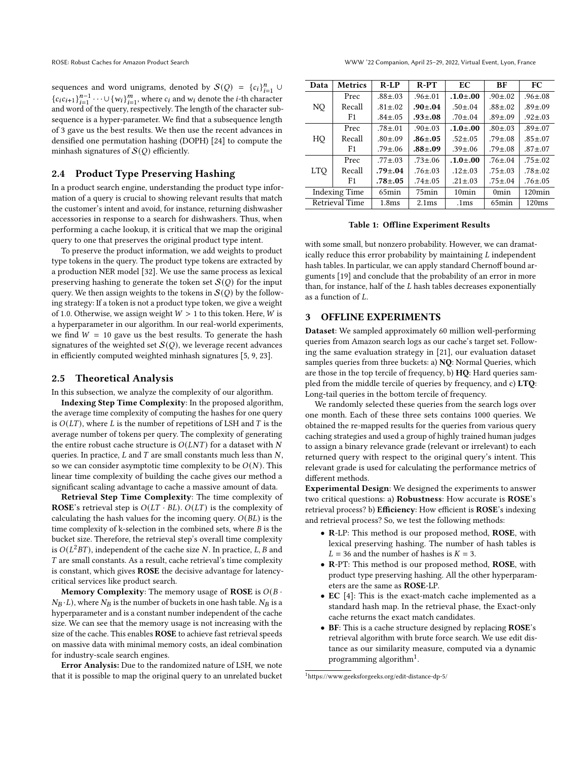sequences and word unigrams, denoted by  $S(Q) = {c_i}_{i=1}^n \cup$  ${c_i c_{i+1}}_{i=1}^{n-1} \cdots \cup {w_i}_{i=1}^m$ , where  $c_i$  and  $w_i$  denote the *i*-th character and word of the query, respectively. The length of the character subsequence is a hyper-parameter. We find that a subsequence length of 3 gave us the best results. We then use the recent advances in densified one permutation hashing (DOPH) [\[24\]](#page-4-24) to compute the minhash signatures of  $\mathcal{S}(Q)$  efficiently.

# <span id="page-2-0"></span>2.4 Product Type Preserving Hashing

In a product search engine, understanding the product type information of a query is crucial to showing relevant results that match the customer's intent and avoid, for instance, returning dishwasher accessories in response to a search for dishwashers. Thus, when performing a cache lookup, it is critical that we map the original query to one that preserves the original product type intent.

To preserve the product information, we add weights to product type tokens in the query. The product type tokens are extracted by a production NER model [\[32\]](#page-4-25). We use the same process as lexical preserving hashing to generate the token set  $\mathcal{S}(Q)$  for the input query. We then assign weights to the tokens in  $\mathcal{S}(Q)$  by the following strategy: If a token is not a product type token, we give a weight of 1.0. Otherwise, we assign weight  $W > 1$  to this token. Here, W is a hyperparameter in our algorithm. In our real-world experiments, we find  $W = 10$  gave us the best results. To generate the hash signatures of the weighted set  $S(Q)$ , we leverage recent advances in efficiently computed weighted minhash signatures [\[5,](#page-4-26) [9,](#page-4-27) [23\]](#page-4-28).

### <span id="page-2-1"></span>2.5 Theoretical Analysis

In this subsection, we analyze the complexity of our algorithm.

Indexing Step Time Complexity: In the proposed algorithm, the average time complexity of computing the hashes for one query is  $O(LT)$ , where L is the number of repetitions of LSH and T is the average number of tokens per query. The complexity of generating the entire robust cache structure is  $O(LNT)$  for a dataset with N queries. In practice,  $L$  and  $T$  are small constants much less than  $N$ , so we can consider asymptotic time complexity to be  $O(N)$ . This linear time complexity of building the cache gives our method a significant scaling advantage to cache a massive amount of data.

Retrieval Step Time Complexity: The time complexity of ROSE's retrieval step is  $O(LT \cdot BL)$ .  $O(LT)$  is the complexity of calculating the hash values for the incoming query.  $O(BL)$  is the time complexity of k-selection in the combined sets, where  $B$  is the bucket size. Therefore, the retrieval step's overall time complexity is  $O(L^2BT)$ , independent of the cache size N. In practice, L, B and  $T$  are small constants. As a result, cache retrieval's time complexity is constant, which gives ROSE the decisive advantage for latencycritical services like product search.

Memory Complexity: The memory usage of ROSE is  $O(B \cdot$  $N_B \cdot L$ ), where  $N_B$  is the number of buckets in one hash table.  $N_B$  is a hyperparameter and is a constant number independent of the cache size. We can see that the memory usage is not increasing with the size of the cache. This enables ROSE to achieve fast retrieval speeds on massive data with minimal memory costs, an ideal combination for industry-scale search engines.

Error Analysis: Due to the randomized nature of LSH, we note that it is possible to map the original query to an unrelated bucket

<span id="page-2-3"></span>

| Data                 | <b>Metrics</b> | $R$ -LP           | $R-PT$            | EC               | BF                | FC            |
|----------------------|----------------|-------------------|-------------------|------------------|-------------------|---------------|
| NQ.                  | Prec           | $.88 \pm .03$     | $.96 \pm .01$     | $.1.0 + .00$     | $.90 \pm .02$     | $.96 \pm .08$ |
|                      | Recall         | $.81 \pm .02$     | $.90 \pm .04$     | $.50{\pm}.04$    | $.88{\pm}.02$     | $.89 \pm .09$ |
|                      | F1             | $.84 \pm .05$     | $.93 + .08$       | $.70 \pm .04$    | $.89 \pm .09$     | $.92 \pm .03$ |
| HQ                   | Prec           | $.78 \pm .01$     | $.90 \pm .03$     | $.1.0 + .00$     | $.80 \pm .03$     | $.89 \pm .07$ |
|                      | Recall         | $.80 \pm .09$     | $.86 + .05$       | $.52 \pm .05$    | $.79 \pm .08$     | $.85 \pm .07$ |
|                      | F1             | $.79 \pm .06$     | $.88 + .09$       | $.39 \pm .06$    | $.79 \pm .08$     | $.87 \pm .07$ |
| <b>LTO</b>           | Prec           | $.77 \pm .03$     | $.73 \pm .06$     | $.1.0 \pm .00$   | $.76 \pm .04$     | $.75 \pm .02$ |
|                      | Recall         | $.79 \pm .04$     | $.76 \pm .03$     | $.12 \pm .03$    | $.75 \pm .03$     | $.78 \pm .02$ |
|                      | F <sub>1</sub> | $.78 + .05$       | $.74 \pm .05$     | $.21 \pm .03$    | $.75 \pm .04$     | $.76 \pm .05$ |
| <b>Indexing Time</b> |                | 65 <sub>min</sub> | 75 <sub>min</sub> | 10min            | 0 <sub>min</sub>  | $120$ min     |
| Retrieval Time       |                | 1.8 <sub>ms</sub> | 2.1 <sub>ms</sub> | .1 <sub>ms</sub> | 65 <sub>min</sub> | 120ms         |

Table 1: Offline Experiment Results

with some small, but nonzero probability. However, we can dramatically reduce this error probability by maintaining  $L$  independent hash tables. In particular, we can apply standard Chernoff bound arguments [\[19\]](#page-4-29) and conclude that the probability of an error in more than, for instance, half of the  $L$  hash tables decreases exponentially as a function of  $L$ .

# 3 OFFLINE EXPERIMENTS

Dataset: We sampled approximately 60 million well-performing queries from Amazon search logs as our cache's target set. Following the same evaluation strategy in [\[21\]](#page-4-30), our evaluation dataset samples queries from three buckets: a) NO: Normal Queries, which are those in the top tercile of frequency, b) HQ: Hard queries sampled from the middle tercile of queries by frequency, and c) LTQ: Long-tail queries in the bottom tercile of frequency.

We randomly selected these queries from the search logs over one month. Each of these three sets contains 1000 queries. We obtained the re-mapped results for the queries from various query caching strategies and used a group of highly trained human judges to assign a binary relevance grade (relevant or irrelevant) to each returned query with respect to the original query's intent. This relevant grade is used for calculating the performance metrics of different methods.

Experimental Design: We designed the experiments to answer two critical questions: a) Robustness: How accurate is ROSE's retrieval process? b) Efficiency: How efficient is ROSE's indexing and retrieval process? So, we test the following methods:

- R-LP: This method is our proposed method, ROSE, with lexical preserving hashing. The number of hash tables is  $L = 36$  and the number of hashes is  $K = 3$ .
- R-PT: This method is our proposed method, ROSE, with product type preserving hashing. All the other hyperparameters are the same as ROSE-LP.
- EC [\[4\]](#page-4-31): This is the exact-match cache implemented as a standard hash map. In the retrieval phase, the Exact-only cache returns the exact match candidates.
- BF: This is a cache structure designed by replacing ROSE's retrieval algorithm with brute force search. We use edit distance as our similarity measure, computed via a dynamic programming algorithm<sup>[1](#page-2-2)</sup>.

<span id="page-2-2"></span><sup>1</sup>https://www.geeksforgeeks.org/edit-distance-dp-5/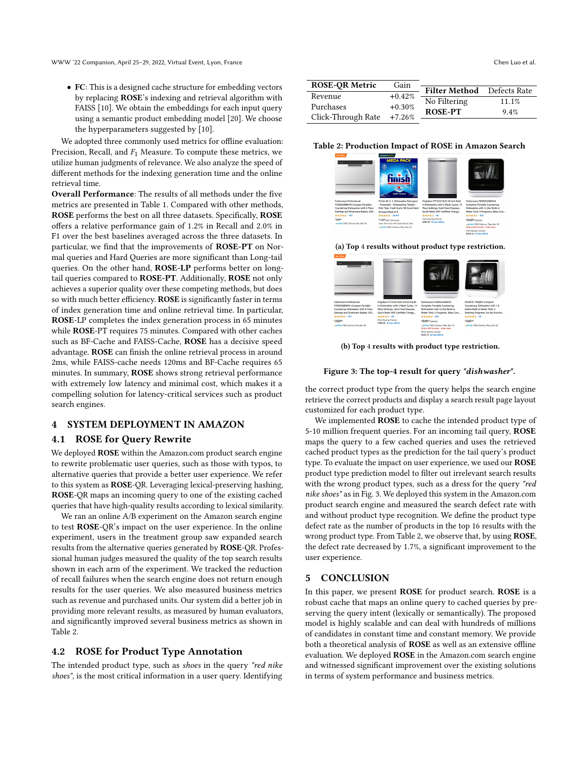• FC: This is a designed cache structure for embedding vectors by replacing ROSE's indexing and retrieval algorithm with FAISS [\[10\]](#page-4-32). We obtain the embeddings for each input query using a semantic product embedding model [\[20\]](#page-4-11). We choose the hyperparameters suggested by [\[10\]](#page-4-32).

We adopted three commonly used metrics for offline evaluation: Precision, Recall, and  $F_1$  Measure. To compute these metrics, we utilize human judgments of relevance. We also analyze the speed of different methods for the indexing generation time and the online retrieval time.

Overall Performance: The results of all methods under the five metrics are presented in Table [1.](#page-2-3) Compared with other methods, ROSE performs the best on all three datasets. Specifically, ROSE offers a relative performance gain of 1.2% in Recall and 2.0% in F1 over the best baselines averaged across the three datasets. In particular, we find that the improvements of ROSE-PT on Normal queries and Hard Queries are more significant than Long-tail queries. On the other hand, ROSE-LP performs better on longtail queries compared to ROSE-PT. Additionally, ROSE not only achieves a superior quality over these competing methods, but does so with much better efficiency. ROSE is significantly faster in terms of index generation time and online retrieval time. In particular, ROSE-LP completes the index generation process in 65 minutes while ROSE-PT requires 75 minutes. Compared with other caches such as BF-Cache and FAISS-Cache, ROSE has a decisive speed advantage. ROSE can finish the online retrieval process in around 2ms, while FAISS-cache needs 120ms and BF-Cache requires 65 minutes. In summary, ROSE shows strong retrieval performance with extremely low latency and minimal cost, which makes it a compelling solution for latency-critical services such as product search engines.

## 4 SYSTEM DEPLOYMENT IN AMAZON

### 4.1 ROSE for Query Rewrite

We deployed ROSE within the Amazon.com product search engine to rewrite problematic user queries, such as those with typos, to alternative queries that provide a better user experience. We refer to this system as ROSE-QR. Leveraging lexical-preserving hashing, ROSE-QR maps an incoming query to one of the existing cached queries that have high-quality results according to lexical similarity.

We ran an online A/B experiment on the Amazon search engine to test ROSE-QR's impact on the user experience. In the online experiment, users in the treatment group saw expanded search results from the alternative queries generated by ROSE-QR. Professional human judges measured the quality of the top search results shown in each arm of the experiment. We tracked the reduction of recall failures when the search engine does not return enough results for the user queries. We also measured business metrics such as revenue and purchased units. Our system did a better job in providing more relevant results, as measured by human evaluators, and significantly improved several business metrics as shown in Table [2.](#page-3-0)

## 4.2 ROSE for Product Type Annotation

The intended product type, such as shoes in the query "red nike shoes", is the most critical information in a user query. Identifying

<span id="page-3-0"></span>

| <b>ROSE-OR Metric</b> | Gain      | Filter Method Defects Rate |       |
|-----------------------|-----------|----------------------------|-------|
| Revenue               | $+0.42%$  |                            |       |
| Purchases             | $+0.30%$  | No Filtering               | 11.1% |
|                       |           | <b>ROSE-PT</b>             | 9.4%  |
| Click-Through Rate    | $+7.26\%$ |                            |       |

<span id="page-3-1"></span>Table 2: Production Impact of ROSE in Amazon Search

| <b>Basic Salder</b><br>$-1111111 - -111$                                                                                                                | <b>Anazon's Choice</b><br><b>MEGA PACK</b><br>⊙<br>94<br>Ξ<br><b>OEED CLEAN</b>                                                                                 | - Darwin M                                                                                                                                                          | <b>CONTRACTOR</b><br>Solo who come is                                                                                                               |
|---------------------------------------------------------------------------------------------------------------------------------------------------------|-----------------------------------------------------------------------------------------------------------------------------------------------------------------|---------------------------------------------------------------------------------------------------------------------------------------------------------------------|-----------------------------------------------------------------------------------------------------------------------------------------------------|
| <b>Farberware Professional</b><br>FCDO6ABBWHA Compact Portable<br>Countertop Dishwasher with 6 Place<br>Settings and Silverware Basket, LED<br>******** | Finish All In 1, Dishwasher Detergent<br>- Powerball - Dishwashing Tablets -<br>Dish Tabs, Fresh Scent, 94 Count Each<br>94 Count (Pack of 1)<br>****** <20.401 | Frigidaire FFCD2418US 24 Inch Built<br>In Dishwasher with 5 Wash Cycles, 14<br>Place Settings, Hard Food Disposer,<br>Quick Wash, NSF Certified, Energy<br>******** | Farberware FDW05AS8WHA<br>Complete Portable Countertop<br>Dishwasher with S.J. iter Ruilt-in<br>Water Tank, 5 Programs, Baby Care,<br>*********     |
| 126999<br><b>Jorime FREE Delivery Fri. Oct 16</b>                                                                                                       | \$1455 (\$0.15/Count)<br>Save 5% more with Subscribe & Save<br>vprime FREE Delivery Thu, Oct 15                                                                 | More Buying Choices<br>\$380.00 (6 new offers)                                                                                                                      | \$34926 \$599.99<br><b>Jorine FREE Delivery Thu, Oct 15</b><br>Only 4 left in stock - order soon.<br>More Ruvino Choices<br>\$349.16 (4 new offers) |

#### (a) Top 4 results without product type restriction.



(b) Top 4 results with product type restriction.

#### Figure 3: The top-4 result for query "dishwasher".

the correct product type from the query helps the search engine retrieve the correct products and display a search result page layout customized for each product type.

We implemented **ROSE** to cache the intended product type of 5-10 million frequent queries. For an incoming tail query, ROSE maps the query to a few cached queries and uses the retrieved cached product types as the prediction for the tail query's product type. To evaluate the impact on user experience, we used our ROSE product type prediction model to filter out irrelevant search results with the wrong product types, such as a dress for the query "red nike shoes" as in Fig. [3.](#page-3-1) We deployed this system in the Amazon.com product search engine and measured the search defect rate with and without product type recognition. We define the product type defect rate as the number of products in the top 16 results with the wrong product type. From Table [2,](#page-3-0) we observe that, by using ROSE, the defect rate decreased by 1.7%, a significant improvement to the user experience.

#### 5 CONCLUSION

In this paper, we present ROSE for product search. ROSE is a robust cache that maps an online query to cached queries by preserving the query intent (lexically or semantically). The proposed model is highly scalable and can deal with hundreds of millions of candidates in constant time and constant memory. We provide both a theoretical analysis of ROSE as well as an extensive offline evaluation. We deployed **ROSE** in the Amazon.com search engine and witnessed significant improvement over the existing solutions in terms of system performance and business metrics.